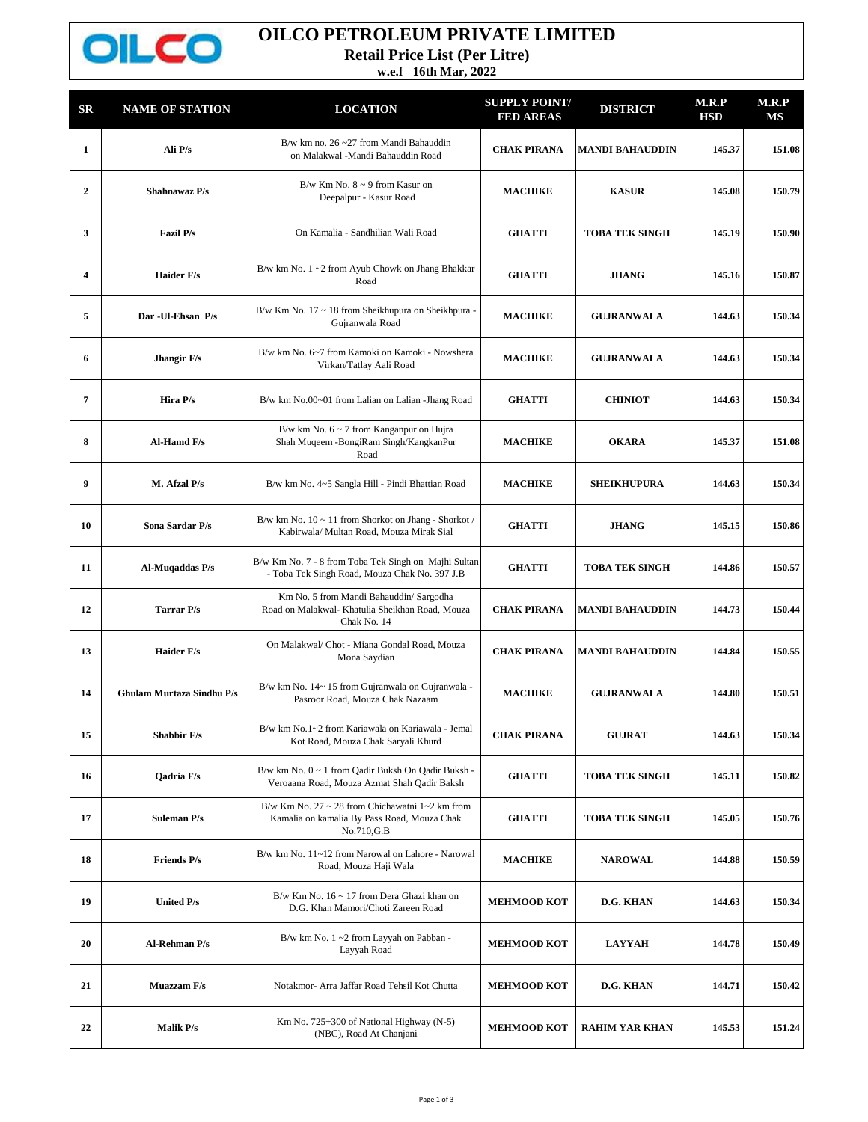

## **OILCO PETROLEUM PRIVATE LIMITED**

**Retail Price List (Per Litre)**

**w.e.f 16th Mar, 2022**

| $_{\rm SR}$             | <b>NAME OF STATION</b>           | <b>LOCATION</b>                                                                                                          | <b>SUPPLY POINT/</b><br><b>FED AREAS</b> | <b>DISTRICT</b>        | M.R.P<br><b>HSD</b> | M.R.P<br>MS |
|-------------------------|----------------------------------|--------------------------------------------------------------------------------------------------------------------------|------------------------------------------|------------------------|---------------------|-------------|
| 1                       | Ali P/s                          | B/w km no. $26 - 27$ from Mandi Bahauddin<br>on Malakwal -Mandi Bahauddin Road                                           | <b>CHAK PIRANA</b>                       | <b>MANDI BAHAUDDIN</b> | 145.37              | 151.08      |
| $\mathbf{2}$            | Shahnawaz P/s                    | B/w Km No. $8 \sim 9$ from Kasur on<br>Deepalpur - Kasur Road                                                            | <b>MACHIKE</b>                           | <b>KASUR</b>           | 145.08              | 150.79      |
| 3                       | Fazil P/s                        | On Kamalia - Sandhilian Wali Road                                                                                        | <b>GHATTI</b>                            | <b>TOBA TEK SINGH</b>  | 145.19              | 150.90      |
| $\overline{\mathbf{4}}$ | Haider F/s                       | B/w km No. $1 \sim 2$ from Ayub Chowk on Jhang Bhakkar<br>Road                                                           | <b>GHATTI</b>                            | <b>JHANG</b>           | 145.16              | 150.87      |
| 5                       | Dar - Ul-Ehsan P/s               | B/w Km No. 17 ~ 18 from Sheikhupura on Sheikhpura -<br>Gujranwala Road                                                   | <b>MACHIKE</b>                           | <b>GUJRANWALA</b>      | 144.63              | 150.34      |
| 6                       | Jhangir F/s                      | B/w km No. 6~7 from Kamoki on Kamoki - Nowshera<br>Virkan/Tatlay Aali Road                                               | <b>MACHIKE</b>                           | <b>GUJRANWALA</b>      | 144.63              | 150.34      |
| 7                       | Hira P/s                         | B/w km No.00~01 from Lalian on Lalian -Jhang Road                                                                        | <b>GHATTI</b>                            | <b>CHINIOT</b>         | 144.63              | 150.34      |
| 8                       | Al-Hamd F/s                      | B/w km No. $6 \sim 7$ from Kanganpur on Hujra<br>Shah Muqeem -BongiRam Singh/KangkanPur<br>Road                          | <b>MACHIKE</b>                           | <b>OKARA</b>           | 145.37              | 151.08      |
| 9                       | M. Afzal P/s                     | B/w km No. 4~5 Sangla Hill - Pindi Bhattian Road                                                                         | <b>MACHIKE</b>                           | <b>SHEIKHUPURA</b>     | 144.63              | 150.34      |
| 10                      | Sona Sardar P/s                  | B/w km No. 10 ~ 11 from Shorkot on Jhang - Shorkot /<br>Kabirwala/ Multan Road, Mouza Mirak Sial                         | <b>GHATTI</b>                            | <b>JHANG</b>           | 145.15              | 150.86      |
| 11                      | Al-Muqaddas P/s                  | B/w Km No. 7 - 8 from Toba Tek Singh on Majhi Sultan<br>- Toba Tek Singh Road, Mouza Chak No. 397 J.B                    | <b>GHATTI</b>                            | <b>TOBA TEK SINGH</b>  | 144.86              | 150.57      |
| 12                      | <b>Tarrar P/s</b>                | Km No. 5 from Mandi Bahauddin/ Sargodha<br>Road on Malakwal- Khatulia Sheikhan Road, Mouza<br>Chak No. 14                | <b>CHAK PIRANA</b>                       | <b>MANDI BAHAUDDIN</b> | 144.73              | 150.44      |
| 13                      | Haider F/s                       | On Malakwal/ Chot - Miana Gondal Road, Mouza<br>Mona Saydian                                                             | <b>CHAK PIRANA</b>                       | <b>MANDI BAHAUDDIN</b> | 144.84              | 150.55      |
| 14                      | <b>Ghulam Murtaza Sindhu P/s</b> | B/w km No. 14~15 from Gujranwala on Gujranwala -<br>Pasroor Road, Mouza Chak Nazaam                                      | <b>MACHIKE</b>                           | <b>GUJRANWALA</b>      | 144.80              | 150.51      |
| 15                      | <b>Shabbir F/s</b>               | B/w km No.1~2 from Kariawala on Kariawala - Jemal<br>Kot Road, Mouza Chak Saryali Khurd                                  | <b>CHAK PIRANA</b>                       | <b>GUJRAT</b>          | 144.63              | 150.34      |
| 16                      | <b>Oadria F/s</b>                | $B/w$ km No. $0 \sim 1$ from Qadir Buksh On Qadir Buksh -<br>Veroaana Road, Mouza Azmat Shah Qadir Baksh                 | <b>GHATTI</b>                            | <b>TOBA TEK SINGH</b>  | 145.11              | 150.82      |
| 17                      | <b>Suleman P/s</b>               | B/w Km No. 27 $\sim$ 28 from Chichawatni 1 $\sim$ 2 km from<br>Kamalia on kamalia By Pass Road, Mouza Chak<br>No.710,G.B | <b>GHATTI</b>                            | <b>TOBA TEK SINGH</b>  | 145.05              | 150.76      |
| 18                      | <b>Friends P/s</b>               | B/w km No. 11~12 from Narowal on Lahore - Narowal<br>Road, Mouza Haji Wala                                               | <b>MACHIKE</b>                           | <b>NAROWAL</b>         | 144.88              | 150.59      |
| 19                      | <b>United P/s</b>                | B/w Km No. $16 \sim 17$ from Dera Ghazi khan on<br>D.G. Khan Mamori/Choti Zareen Road                                    | <b>MEHMOOD KOT</b>                       | D.G. KHAN              | 144.63              | 150.34      |
| 20                      | Al-Rehman P/s                    | B/w km No. $1 \sim 2$ from Layyah on Pabban -<br>Layyah Road                                                             | <b>MEHMOOD KOT</b>                       | <b>LAYYAH</b>          | 144.78              | 150.49      |
| 21                      | Muazzam F/s                      | Notakmor- Arra Jaffar Road Tehsil Kot Chutta                                                                             | <b>MEHMOOD KOT</b>                       | D.G. KHAN              | 144.71              | 150.42      |
| 22                      | <b>Malik P/s</b>                 | Km No. 725+300 of National Highway (N-5)<br>(NBC), Road At Chanjani                                                      | <b>MEHMOOD KOT</b>                       | <b>RAHIM YAR KHAN</b>  | 145.53              | 151.24      |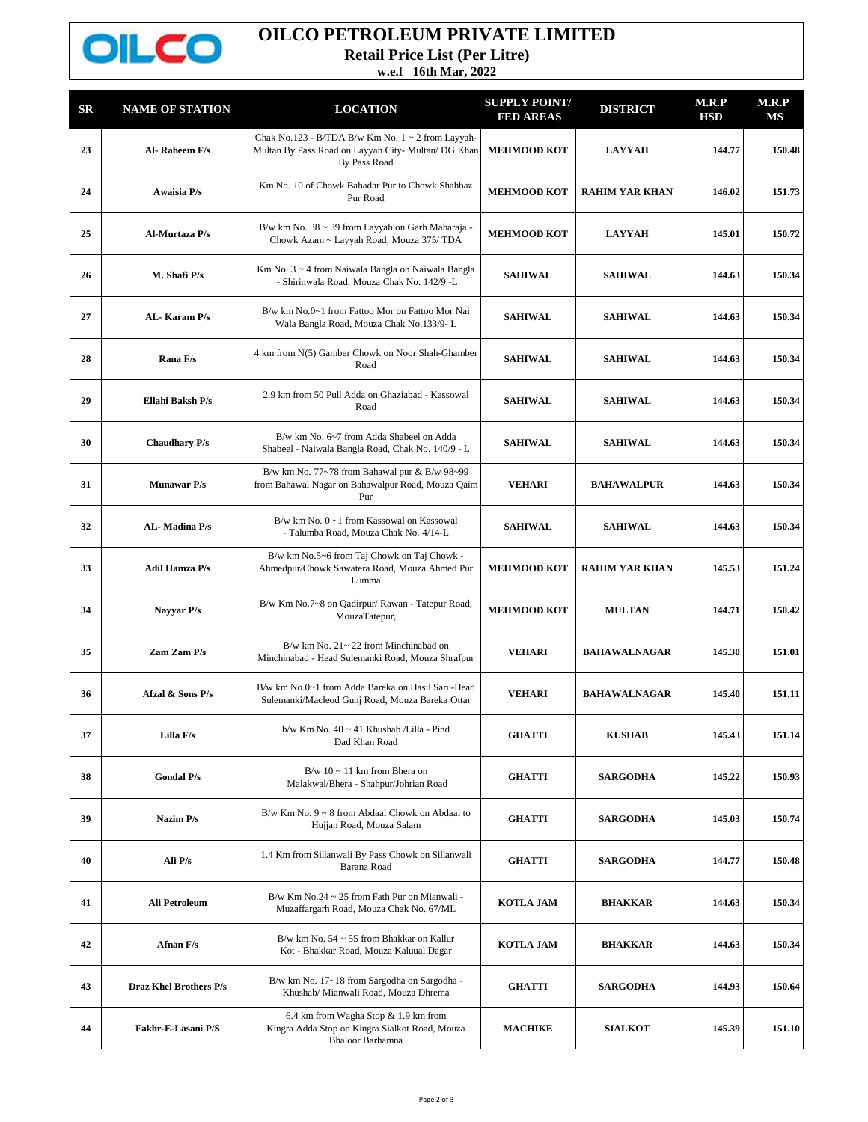

## **OILCO PETROLEUM PRIVATE LIMITED**

**Retail Price List (Per Litre)**

**w.e.f 16th Mar, 2022**

| $\mathbf{S}\mathbf{R}$ | <b>NAME OF STATION</b>        | <b>LOCATION</b>                                                                                                               | <b>SUPPLY POINT/</b><br><b>FED AREAS</b> | <b>DISTRICT</b>       | M.R.P<br><b>HSD</b> | M.R.P<br><b>MS</b> |
|------------------------|-------------------------------|-------------------------------------------------------------------------------------------------------------------------------|------------------------------------------|-----------------------|---------------------|--------------------|
| 23                     | Al-Raheem F/s                 | Chak No.123 - B/TDA B/w Km No. $1 \sim 2$ from Layyah-<br>Multan By Pass Road on Layyah City- Multan/ DG Khan<br>By Pass Road | <b>MEHMOOD KOT</b>                       | <b>LAYYAH</b>         | 144.77              | 150.48             |
| 24                     | Awaisia P/s                   | Km No. 10 of Chowk Bahadar Pur to Chowk Shahbaz<br>Pur Road                                                                   | <b>MEHMOOD KOT</b>                       | <b>RAHIM YAR KHAN</b> | 146.02              | 151.73             |
| 25                     | Al-Murtaza P/s                | B/w km No. 38 ~ 39 from Layyah on Garh Maharaja -<br>Chowk Azam ~ Layyah Road, Mouza 375/ TDA                                 | <b>MEHMOOD KOT</b>                       | <b>LAYYAH</b>         | 145.01              | 150.72             |
| 26                     | M. Shafi P/s                  | Km No. 3 ~ 4 from Naiwala Bangla on Naiwala Bangla<br>- Shirinwala Road, Mouza Chak No. 142/9 -L                              | <b>SAHIWAL</b>                           | <b>SAHIWAL</b>        | 144.63              | 150.34             |
| 27                     | AL-Karam P/s                  | B/w km No.0~1 from Fattoo Mor on Fattoo Mor Nai<br>Wala Bangla Road, Mouza Chak No.133/9-L                                    | <b>SAHIWAL</b>                           | <b>SAHIWAL</b>        | 144.63              | 150.34             |
| 28                     | Rana F/s                      | 4 km from N(5) Gamber Chowk on Noor Shah-Ghamber<br>Road                                                                      | <b>SAHIWAL</b>                           | <b>SAHIWAL</b>        | 144.63              | 150.34             |
| 29                     | Ellahi Baksh P/s              | 2.9 km from 50 Pull Adda on Ghaziabad - Kassowal<br>Road                                                                      | <b>SAHIWAL</b>                           | <b>SAHIWAL</b>        | 144.63              | 150.34             |
| 30                     | <b>Chaudhary P/s</b>          | B/w km No. 6~7 from Adda Shabeel on Adda<br>Shabeel - Naiwala Bangla Road, Chak No. 140/9 - L                                 | <b>SAHIWAL</b>                           | <b>SAHIWAL</b>        | 144.63              | 150.34             |
| 31                     | <b>Munawar</b> P/s            | B/w km No. 77~78 from Bahawal pur & B/w 98~99<br>from Bahawal Nagar on Bahawalpur Road, Mouza Qaim<br>Pur                     | <b>VEHARI</b>                            | <b>BAHAWALPUR</b>     | 144.63              | 150.34             |
| 32                     | AL-Madina P/s                 | B/w km No. 0~1 from Kassowal on Kassowal<br>- Talumba Road, Mouza Chak No. 4/14-L                                             | <b>SAHIWAL</b>                           | <b>SAHIWAL</b>        | 144.63              | 150.34             |
| 33                     | <b>Adil Hamza P/s</b>         | B/w km No.5~6 from Taj Chowk on Taj Chowk -<br>Ahmedpur/Chowk Sawatera Road, Mouza Ahmed Pur<br>Lumma                         | <b>MEHMOOD KOT</b>                       | <b>RAHIM YAR KHAN</b> | 145.53              | 151.24             |
| 34                     | Nayyar P/s                    | B/w Km No.7~8 on Qadirpur/ Rawan - Tatepur Road,<br>MouzaTatepur,                                                             | <b>MEHMOOD KOT</b>                       | <b>MULTAN</b>         | 144.71              | 150.42             |
| 35                     | Zam Zam P/s                   | $B/w$ km No. $21 \sim 22$ from Minchinabad on<br>Minchinabad - Head Sulemanki Road, Mouza Shrafpur                            | <b>VEHARI</b>                            | <b>BAHAWALNAGAR</b>   | 145.30              | 151.01             |
| 36                     | Afzal & Sons P/s              | B/w km No.0~1 from Adda Bareka on Hasil Saru-Head<br>Sulemanki/Macleod Gunj Road, Mouza Bareka Ottar                          | <b>VEHARI</b>                            | <b>BAHAWALNAGAR</b>   | 145.40              | 151.11             |
| 37                     | Lilla F/s                     | b/w Km No. 40 ~ 41 Khushab /Lilla - Pind<br>Dad Khan Road                                                                     | <b>GHATTI</b>                            | <b>KUSHAB</b>         | 145.43              | 151.14             |
| 38                     | <b>Gondal P/s</b>             | $B/w 10 \sim 11$ km from Bhera on<br>Malakwal/Bhera - Shahpur/Johrian Road                                                    | <b>GHATTI</b>                            | <b>SARGODHA</b>       | 145.22              | 150.93             |
| 39                     | Nazim P/s                     | $B/w$ Km No. $9 \sim 8$ from Abdaal Chowk on Abdaal to<br>Hujjan Road, Mouza Salam                                            | <b>GHATTI</b>                            | <b>SARGODHA</b>       | 145.03              | 150.74             |
| 40                     | Ali P/s                       | 1.4 Km from Sillanwali By Pass Chowk on Sillanwali<br>Barana Road                                                             | <b>GHATTI</b>                            | <b>SARGODHA</b>       | 144.77              | 150.48             |
| 41                     | Ali Petroleum                 | B/w Km No.24 $\sim$ 25 from Fath Pur on Mianwali -<br>Muzaffargarh Road, Mouza Chak No. 67/ML                                 | KOTLA JAM                                | BHAKKAR               | 144.63              | 150.34             |
| 42                     | Afnan F/s                     | $B/w$ km No. 54 $\sim$ 55 from Bhakkar on Kallur<br>Kot - Bhakkar Road, Mouza Kaluual Dagar                                   | KOTLA JAM                                | BHAKKAR               | 144.63              | 150.34             |
| 43                     | <b>Draz Khel Brothers P/s</b> | B/w km No. 17~18 from Sargodha on Sargodha -<br>Khushab/ Mianwali Road, Mouza Dhrema                                          | <b>GHATTI</b>                            | <b>SARGODHA</b>       | 144.93              | 150.64             |
| 44                     | Fakhr-E-Lasani P/S            | 6.4 km from Wagha Stop & 1.9 km from<br>Kingra Adda Stop on Kingra Sialkot Road, Mouza<br>Bhaloor Barhamna                    | <b>MACHIKE</b>                           | <b>SIALKOT</b>        | 145.39              | 151.10             |